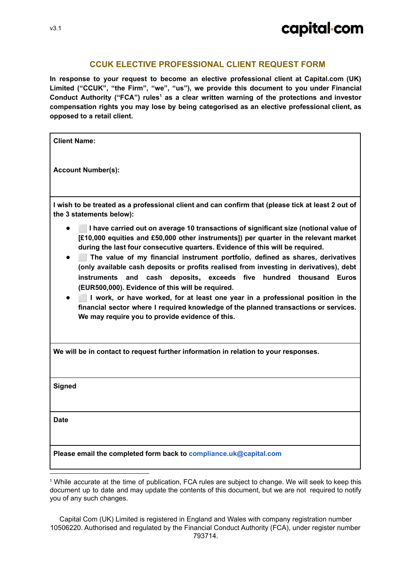#### **CCUK ELECTIVE PROFESSIONAL CLIENT REQUEST FORM**

**In response to your request to become an elective professional client at Capital.com (UK) Limited ("CCUK", "the Firm", "we", "us"), we provide this document to you under Financial Conduct Authority ("FCA") rules as a clear written warning of the protections and investor 1 compensation rights you may lose by being categorised as an elective professional client, as opposed to a retail client.**

**Client Name:**

**Account Number(s):**

I wish to be treated as a professional client and can confirm that (please tick at least 2 out of **the 3 statements below):**

- ⬜ **I have carried out on average 10 transactions of significant size (notional value of [£10,000 equities and £50,000 other instruments]) per quarter in the relevant market during the last four consecutive quarters. Evidence of this will be required.**
- ⬜ **The value of my financial instrument portfolio, defined as shares, derivatives (only available cash deposits or profits realised from investing in derivatives), debt instruments and cash deposits, exceeds five hundred thousand Euros (EUR500,000). Evidence of this will be required.**
- ⬜ **I work, or have worked, for at least one year in a professional position in the financial sector where I required knowledge of the planned transactions or services. We may require you to provide evidence of this.**

**We will be in contact to request further information in relation to your responses.**

**Signed**

**Date**

**Please email the completed form back to compliance.uk@capital.com**

 $1$  While accurate at the time of publication. FCA rules are subject to change. We will seek to keep this document up to date and may update the contents of this document, but we are not required to notify you of any such changes.

Capital Com (UK) Limited is registered in England and Wales with company registration number 10506220. Authorised and regulated by the Financial Conduct Authority (FCA), under register number 793714.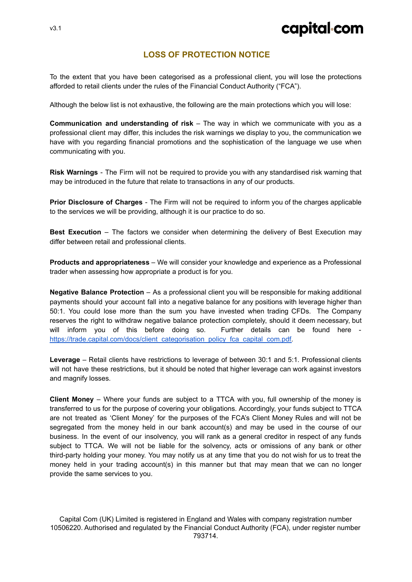# capital com

### **LOSS OF PROTECTION NOTICE**

To the extent that you have been categorised as a professional client, you will lose the protections afforded to retail clients under the rules of the Financial Conduct Authority ("FCA").

Although the below list is not exhaustive, the following are the main protections which you will lose:

**Communication and understanding of risk** – The way in which we communicate with you as a professional client may differ, this includes the risk warnings we display to you, the communication we have with you regarding financial promotions and the sophistication of the language we use when communicating with you.

**Risk Warnings** - The Firm will not be required to provide you with any standardised risk warning that may be introduced in the future that relate to transactions in any of our products.

**Prior Disclosure of Charges** - The Firm will not be required to inform you of the charges applicable to the services we will be providing, although it is our practice to do so.

**Best Execution** – The factors we consider when determining the delivery of Best Execution may differ between retail and professional clients.

**Products and appropriateness** – We will consider your knowledge and experience as a Professional trader when assessing how appropriate a product is for you.

**Negative Balance Protection** – As a professional client you will be responsible for making additional payments should your account fall into a negative balance for any positions with leverage higher than 50:1. You could lose more than the sum you have invested when trading CFDs. The Company reserves the right to withdraw negative balance protection completely, should it deem necessary, but will inform you of this before doing so. Further details can be found here [https://trade.capital.com/docs/client\\_categorisation\\_policy\\_fca\\_capital\\_com.pdf.](https://trade.capital.com/docs/client_categorisation_policy_fca_capital_com.pdf)

**Leverage** – Retail clients have restrictions to leverage of between 30:1 and 5:1. Professional clients will not have these restrictions, but it should be noted that higher leverage can work against investors and magnify losses.

**Client Money** – Where your funds are subject to a TTCA with you, full ownership of the money is transferred to us for the purpose of covering your obligations. Accordingly, your funds subject to TTCA are not treated as 'Client Money' for the purposes of the FCA's Client Money Rules and will not be segregated from the money held in our bank account(s) and may be used in the course of our business. In the event of our insolvency, you will rank as a general creditor in respect of any funds subject to TTCA. We will not be liable for the solvency, acts or omissions of any bank or other third-party holding your money. You may notify us at any time that you do not wish for us to treat the money held in your trading account(s) in this manner but that may mean that we can no longer provide the same services to you.